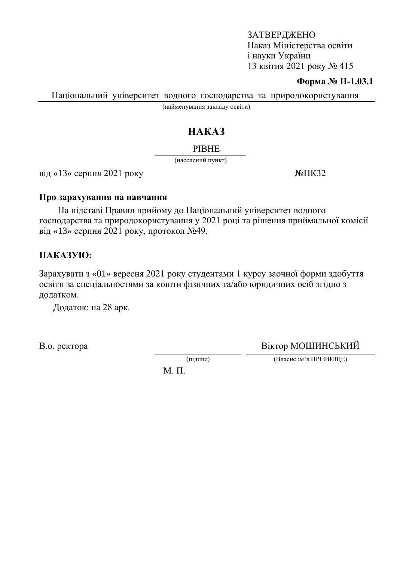#### **Форма № Н-1.03.1**

Національний університет водного господарства та природокористування

(найменування закладу освіти)

# HAKA3

#### **PIBHE**

(населений пункт)

 $\overline{Bi}$ д «13» серпня 2021 року  $\overline{Ne}$   $\overline{I}$ К32

#### Про зарахування на навчання

На підставі Правил прийому до Національний університет водного господарства та природокористування у 2021 році та рішення приймальної комісії від «13» серпня 2021 року, протокол  $N_2$ 49,

## HAKA3YIO:

Зарахувати з «01» вересня 2021 року студентами 1 курсу заочної форми здобуття освіти за спеціальностями за кошти фізичних та/або юридичних осіб згідно з додатком.

Додаток: на 28 арк.

В.о. ректора Віктор МОШИНСЬКИЙ

(підпис) (Власне ім'я ПРІЗВИЩЕ)

М. П.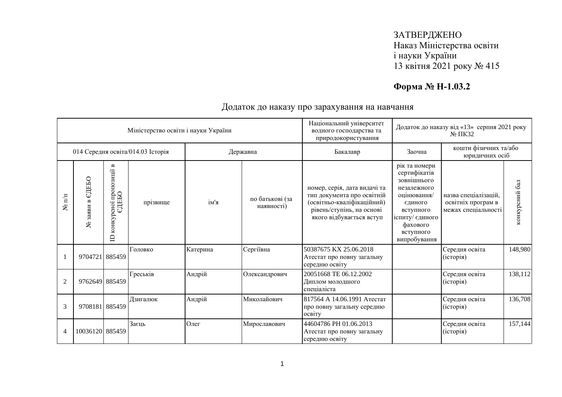# **Форма № Н-1.03.2**

|                      |                                  |                                                            | Міністерство освіти і науки України |          |                               | Національний університет<br>водного господарства та<br>природокористування                                                                        | Додаток до наказу від «13» серпня 2021 року<br>$N2 \Pi K32$                                                                                                    |                                                                   |                |
|----------------------|----------------------------------|------------------------------------------------------------|-------------------------------------|----------|-------------------------------|---------------------------------------------------------------------------------------------------------------------------------------------------|----------------------------------------------------------------------------------------------------------------------------------------------------------------|-------------------------------------------------------------------|----------------|
|                      |                                  |                                                            | 014 Середня освіта/014.03 Історія   |          | Державна                      | Бакалавр                                                                                                                                          | Заочна                                                                                                                                                         | кошти фізичних та/або<br>юридичних осіб                           |                |
| $N$ <sup>o</sup> π/π | едеьо<br>$\mathbf{m}$<br>№ заяви | пропозиції в<br>сної про<br>ЄДЕБО<br>конкур<br>$\triangle$ | прізвище                            | ім'я     | по батькові (за<br>наявності) | номер, серія, дата видачі та<br>тип документа про освітній<br>(освітньо-кваліфікаційний)<br>рівень/ступінь, на основі<br>якого відбувається вступ | рік та номери<br>сертифікатів<br>зовнішнього<br>незалежного<br>оцінювання/<br>єдиного<br>вступного<br>іспиту/ єдиного<br>фахового<br>вступного<br>випробування | назва спеціалізацій.<br>освітніх програм в<br>межах спеціальності | конкурсний бал |
|                      | 9704721 885459                   |                                                            | Головко                             | Катерина | Сергіївна                     | 50387675 KX 25.06.2018<br>Атестат про повну загальну<br>середню освіту                                                                            |                                                                                                                                                                | Середня освіта<br>(icropi)                                        | 148,980        |
| $\overline{2}$       | 9762649 885459                   |                                                            | Греськів                            | Андрій   | Олександрович                 | 20051668 TE 06.12.2002<br>Диплом молодшого<br>спеціаліста                                                                                         |                                                                                                                                                                | Середня освіта<br>(історія)                                       | 138,112        |
| 3                    | 9708181 885459                   |                                                            | Лзигалюк                            | Андрій   | Миколайович                   | 817564 А 14.06.1991 Атестат<br>про повну загальну середню<br>освіту                                                                               |                                                                                                                                                                | Середня освіта<br>(історія)                                       | 136,708        |
| 4                    | 10036120 885459                  |                                                            | Заєць                               | Олег     | Мирославович                  | 44604786 PH 01.06.2013<br>Атестат про повну загальну<br>середню освіту                                                                            |                                                                                                                                                                | Середня освіта<br>(історія)                                       | 157,144        |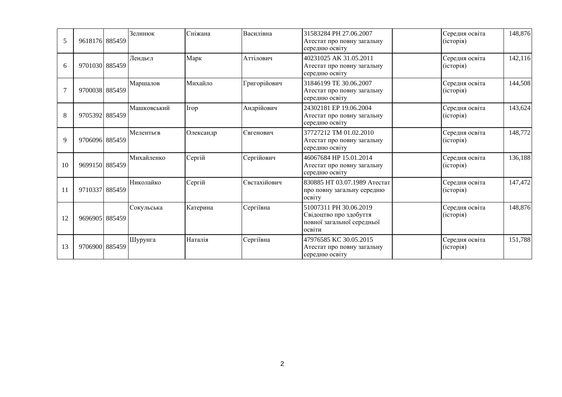| 5  | 9618176 885459 | Зелинюк     | Сніжана     | Василівна    | 31583284 PH 27.06.2007<br>Атестат про повну загальну<br>середню освіту                   | Середня освіта<br>(icropi)  | 148,876  |
|----|----------------|-------------|-------------|--------------|------------------------------------------------------------------------------------------|-----------------------------|----------|
| 6  | 9701030 885459 | Лендьєл     | Марк        | Аттілович    | 40231025 AK 31.05.2011<br>Атестат про повну загальну<br>середню освіту                   | Середня освіта<br>(історія) | 142, 116 |
|    | 9700038 885459 | Маршалов    | Михайло     | Григорійович | 31846199 TE 30.06.2007<br>Атестат про повну загальну<br>середню освіту                   | Середня освіта<br>(історія) | 144,508  |
| 8  | 9705392 885459 | Машковський | <b>Irop</b> | Андрійович   | 24302181 EP 19.06.2004<br>Атестат про повну загальну<br>середню освіту                   | Середня освіта<br>(icropi)  | 143,624  |
| 9  | 9706096 885459 | Мелентьєв   | Олександр   | Євгенович    | 37727212 TM 01.02.2010<br>Атестат про повну загальну<br>середню освіту                   | Середня освіта<br>(історія) | 148,772  |
| 10 | 9699150 885459 | Михайленко  | Сергій      | Сергійович   | 46067684 HP 15.01.2014<br>Атестат про повну загальну<br>середню освіту                   | Середня освіта<br>(icropi)  | 136,188  |
| 11 | 9710337 885459 | Николайко   | Сергій      | Євстахійович | 830885 НТ 03.07.1989 Атестат<br>про повну загальну середню<br>освіту                     | Середня освіта<br>(icropi)  | 147,472  |
| 12 | 9696905 885459 | Сокульська  | Катерина    | Сергіївна    | 51007311 PH 30.06.2019<br>Свідоцтво про здобуття<br>повної загальної середньої<br>освіти | Середня освіта<br>(історія) | 148,876  |
| 13 | 9706900 885459 | Шурунга     | Наталія     | Сергіївна    | 47976585 KC 30.05.2015<br>Атестат про повну загальну<br>середню освіту                   | Середня освіта<br>(історія) | 151,788  |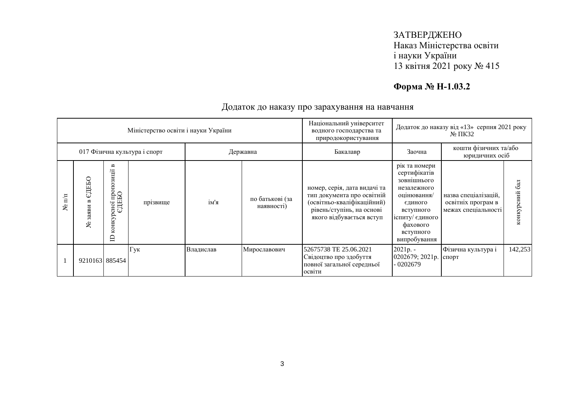# **Форма № Н-1.03.2**

|                              |                         |                                              | Міністерство освіти і науки України |           |                               | Національний університет<br>водного господарства та<br>природокористування                                                                        | Додаток до наказу від «13» серпня 2021 року<br>$\mathbb{N}^{\circ}$ TIK32                                                                                      |                                                                   |                  |
|------------------------------|-------------------------|----------------------------------------------|-------------------------------------|-----------|-------------------------------|---------------------------------------------------------------------------------------------------------------------------------------------------|----------------------------------------------------------------------------------------------------------------------------------------------------------------|-------------------------------------------------------------------|------------------|
|                              |                         |                                              | 017 Фізична культура і спорт        |           | Державна                      | Бакалавр                                                                                                                                          | Заочна                                                                                                                                                         | кошти фізичних та/або<br>юридичних осіб                           |                  |
| $\overline{\mathbf{h}}$<br>ع | ДЕБО<br>ω<br>заяви<br>ع | B<br>сної пропозиції<br>ЄДЕБО<br>конкур<br>白 | прізвище                            | ім'я      | по батькові (за<br>наявності) | номер, серія, дата видачі та<br>тип документа про освітній<br>(освітньо-кваліфікаційний)<br>рівень/ступінь, на основі<br>якого відбувається вступ | рік та номери<br>сертифікатів<br>зовнішнього<br>незалежного<br>оцінювання/<br>єдиного<br>вступного<br>іспиту/ єдиного<br>фахового<br>вступного<br>випробування | назва спеціалізацій,<br>освітніх програм в<br>межах спеціальності | 6a<br>конкурсний |
|                              | 9210163 885454          |                                              | Гук                                 | Владислав | Мирославович                  | 52675738 TE 25.06.2021<br>Свідоцтво про здобуття<br>повної загальної середньої<br>освіти                                                          | $2021p. -$<br>0202679; 2021p.<br>$-0202679$                                                                                                                    | Фізична культура і<br>спорт                                       | 142,253          |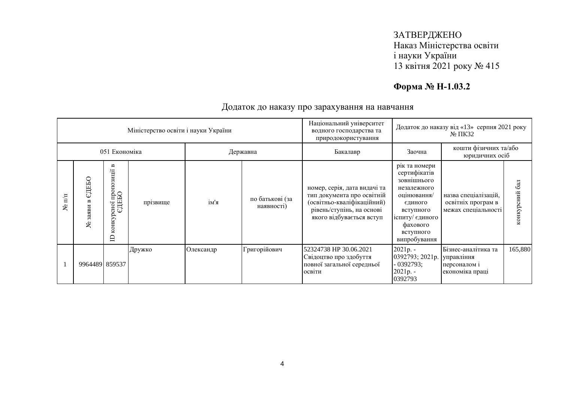# **Форма № Н-1.03.2**

|                   |                                     |                                                           | Міністерство освіти і науки України |           |                               | Національний університет<br>водного господарства та<br>природокористування                                                                        | Додаток до наказу від «13» серпня 2021 року<br>$\mathbb{N}^{\circ}$ IIK32                                                                                      |                                                                      |                  |
|-------------------|-------------------------------------|-----------------------------------------------------------|-------------------------------------|-----------|-------------------------------|---------------------------------------------------------------------------------------------------------------------------------------------------|----------------------------------------------------------------------------------------------------------------------------------------------------------------|----------------------------------------------------------------------|------------------|
|                   | 051 Економіка<br>Державна           |                                                           |                                     |           |                               | Бакалавр                                                                                                                                          | Заочна                                                                                                                                                         | кошти фізичних та/або<br>юридичних осіб                              |                  |
| $\mathbb{H}$<br>ع | ДЕБО<br>Cı)<br>3a <sub>5</sub><br>٤ | Б<br>осно1 пропозиції і<br>ЄДЕБО<br>конкур<br>$\triangle$ | прізвище                            | ім'я      | по батькові (за<br>наявності) | номер, серія, дата видачі та<br>тип документа про освітній<br>(освітньо-кваліфікаційний)<br>рівень/ступінь, на основі<br>якого відбувається вступ | рік та номери<br>сертифікатів<br>зовнішнього<br>незалежного<br>оцінювання/<br>єдиного<br>вступного<br>іспиту/ єдиного<br>фахового<br>вступного<br>випробування | назва спеціалізацій,<br>освітніх програм в<br>межах спеціальності    | 6a<br>конкурсний |
|                   | 9964489 859537                      |                                                           | Дружко                              | Олександр | Григорійович                  | 52324738 HP 30.06.2021<br>Свідоцтво про здобуття<br>повної загальної середньої<br>освіти                                                          | 2021p. -<br>0392793; 2021p.<br>- 0392793;<br>$2021p. -$<br>0392793                                                                                             | Бізнес-аналітика та<br>управління<br>персоналом і<br>економіка праці | 165,880          |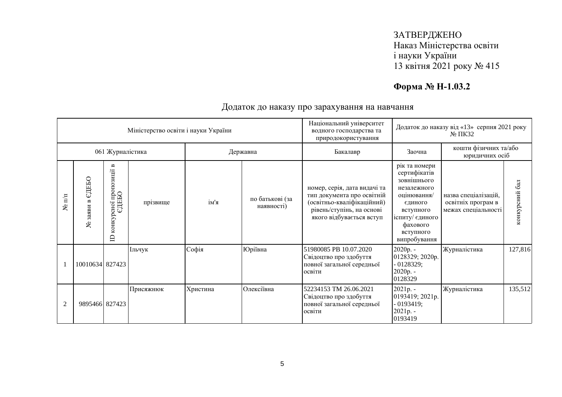# **Форма № Н-1.03.2**

|                  |                                     |                                                                     | Міністерство освіти і науки України |          |                               | Національний університет<br>водного господарства та<br>природокористування                                                                        | Додаток до наказу від «13» серпня 2021 року<br>$\mathbb{N}^{\circ}$ TIK32                                                                                      |                                                                   |                  |
|------------------|-------------------------------------|---------------------------------------------------------------------|-------------------------------------|----------|-------------------------------|---------------------------------------------------------------------------------------------------------------------------------------------------|----------------------------------------------------------------------------------------------------------------------------------------------------------------|-------------------------------------------------------------------|------------------|
|                  |                                     | 061 Журналістика                                                    |                                     |          | Державна                      | Бакалавр                                                                                                                                          | Заочна                                                                                                                                                         | кошти фізичних та/або<br>юридичних осіб                           |                  |
| $\mathbf{N}$ π/π | ЄДЕБО<br>$\mathbf{a}$<br>заяви<br>ৼ | $\blacksquare$<br>сної пропозиції<br>ЄДЕБО<br>конкур<br>$\triangle$ | прізвище                            | ім'я     | по батькові (за<br>наявності) | номер, серія, дата видачі та<br>тип документа про освітній<br>(освітньо-кваліфікаційний)<br>рівень/ступінь, на основі<br>якого відбувається вступ | рік та номери<br>сертифікатів<br>зовнішнього<br>незалежного<br>оцінювання/<br>єдиного<br>вступного<br>іспиту/ єдиного<br>фахового<br>вступного<br>випробування | назва спеціалізацій,<br>освітніх програм в<br>межах спеціальності | 6a<br>конкурсний |
|                  | 10010634 827423                     |                                                                     | Ільчук                              | Софія    | Юріївна                       | 51980085 PB 10.07.2020<br>Свідоцтво про здобуття<br>повної загальної середньої<br>освіти                                                          | $2020p. -$<br>0128329; 2020p.<br>$-0128329;$<br>$2020p. -$<br>0128329                                                                                          | Журналістика                                                      | 127,816          |
| 2                | 9895466 827423                      |                                                                     | Присяжнюк                           | Христина | Олексіївна                    | 52234153 TM 26.06.2021<br>Свідоцтво про здобуття<br>повної загальної середньої<br>освіти                                                          | 2021p. -<br>0193419; 2021p.<br>$-0193419;$<br>2021p. -<br>0193419                                                                                              | Журналістика                                                      | 135,512          |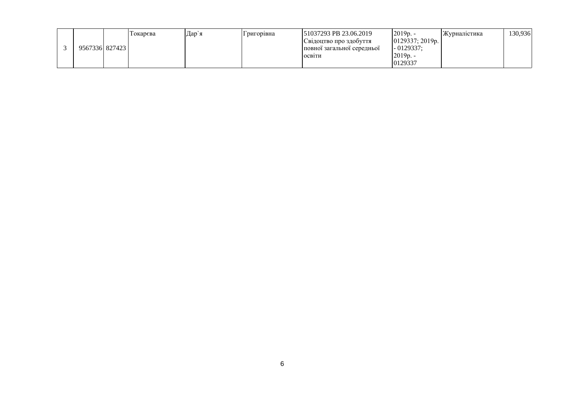|  | 956733618274231 | Гокарсва | Дар`я | ригорівна | 51037293 PB 23.06.2019<br>Свідоцтво про здобуття<br>повної загальної середньої<br>ОСВІТИ | $2019p. -$<br>0129337; 2019p.<br>$-0129337:$<br>2019p. | Журналістика | 130,936 |
|--|-----------------|----------|-------|-----------|------------------------------------------------------------------------------------------|--------------------------------------------------------|--------------|---------|
|  |                 |          |       |           |                                                                                          | 0129337                                                |              |         |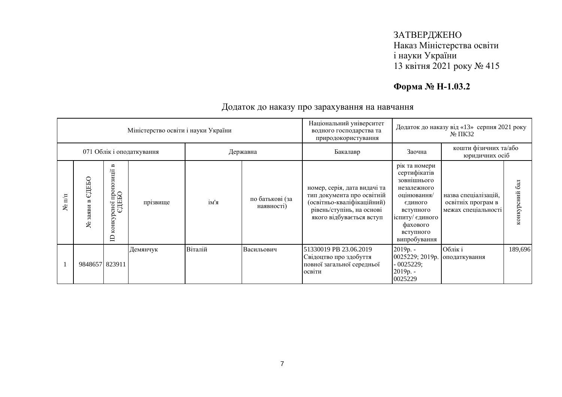# **Форма № Н-1.03.2**

|                   |                           |                                                           | Міністерство освіти і науки України |         |                               | Національний університет<br>водного господарства та<br>природокористування                                                                        | Додаток до наказу від «13» серпня 2021 року<br>$\mathbb{N}^{\circ}$ TIK32                                                                                      |                                                                   |                  |
|-------------------|---------------------------|-----------------------------------------------------------|-------------------------------------|---------|-------------------------------|---------------------------------------------------------------------------------------------------------------------------------------------------|----------------------------------------------------------------------------------------------------------------------------------------------------------------|-------------------------------------------------------------------|------------------|
|                   | 071 Облік і оподаткування |                                                           |                                     |         | Державна                      | Бакалавр                                                                                                                                          | Заочна                                                                                                                                                         | кошти фізичних та/або<br>юридичних осіб                           |                  |
| $\mathbb{E}$<br>ع | ДЕБО<br>Cı)<br>335<br>٤   | Б<br>осної пропозиції і<br>ЄДЕБО<br>конкур<br>$\triangle$ | прізвище                            | ім'я    | по батькові (за<br>наявності) | номер, серія, дата видачі та<br>тип документа про освітній<br>(освітньо-кваліфікаційний)<br>рівень/ступінь, на основі<br>якого відбувається вступ | рік та номери<br>сертифікатів<br>зовнішнього<br>незалежного<br>оцінювання/<br>єдиного<br>вступного<br>іспиту/ єдиного<br>фахового<br>вступного<br>випробування | назва спеціалізацій,<br>освітніх програм в<br>межах спеціальності | 6a<br>конкурсний |
|                   | 9848657 823911            |                                                           | Демянчук                            | Віталій | Васильович                    | 51330019 PB 23.06.2019<br>Свідоцтво про здобуття<br>повної загальної середньої<br>освіти                                                          | 2019p. -<br>0025229; 2019p.<br>$-0025229;$<br>2019p. -<br>0025229                                                                                              | Облік і<br>оподаткування                                          | 189,696          |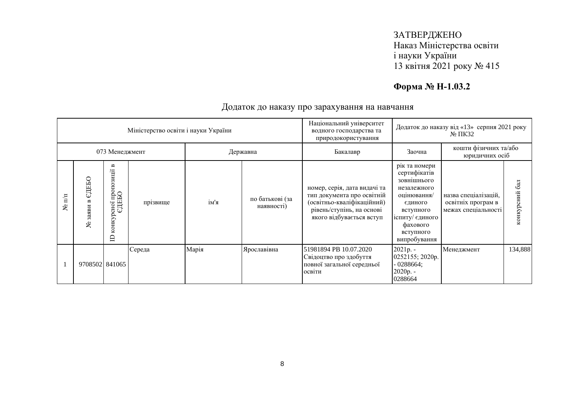# **Форма № Н-1.03.2**

|                   |                         |                                                           | Міністерство освіти і науки України |       |                               | Національний університет<br>водного господарства та<br>природокористування                                                                        | Додаток до наказу від «13» серпня 2021 року<br>$\mathbb{N}^{\circ}$ IIK32                                                                                      |                                                                   |                  |
|-------------------|-------------------------|-----------------------------------------------------------|-------------------------------------|-------|-------------------------------|---------------------------------------------------------------------------------------------------------------------------------------------------|----------------------------------------------------------------------------------------------------------------------------------------------------------------|-------------------------------------------------------------------|------------------|
|                   |                         | 073 Менеджмент                                            |                                     |       | Державна                      | Бакалавр                                                                                                                                          | Заочна                                                                                                                                                         | кошти фізичних та/або<br>юридичних осіб                           |                  |
| $\mathbb{E}$<br>ع | ДЕБО<br>Cı)<br>335<br>٤ | Б<br>осної пропозиції і<br>ЄДЕБО<br>конкур<br>$\triangle$ | прізвище                            | ім'я  | по батькові (за<br>наявності) | номер, серія, дата видачі та<br>тип документа про освітній<br>(освітньо-кваліфікаційний)<br>рівень/ступінь, на основі<br>якого відбувається вступ | рік та номери<br>сертифікатів<br>зовнішнього<br>незалежного<br>оцінювання/<br>єдиного<br>вступного<br>іспиту/ єдиного<br>фахового<br>вступного<br>випробування | назва спеціалізацій,<br>освітніх програм в<br>межах спеціальності | 6a<br>конкурсний |
|                   | 9708502 841065          |                                                           | Середа                              | Марія | Ярославівна                   | 51981894 PB 10.07.2020<br>Свідоцтво про здобуття<br>повної загальної середньої<br>освіти                                                          | 2021p. -<br>0252155; 2020p.<br>$-0288664;$<br>2020p. -<br>0288664                                                                                              | Менеджмент                                                        | 134,888          |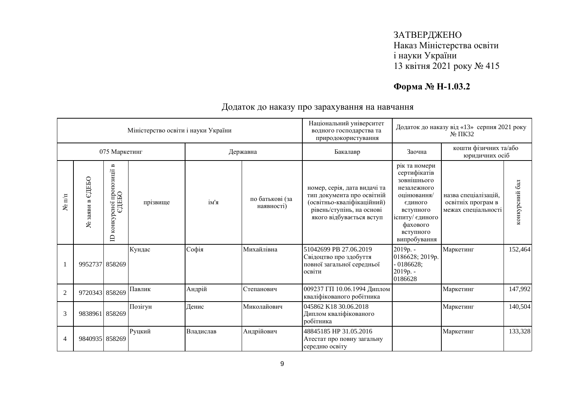# **Форма № Н-1.03.2**

|                  |                                  |                                                          | Міністерство освіти і науки України |           |                               | Національний університет<br>водного господарства та                                                                                               |                                                                                                                                                                | Додаток до наказу від «13» серпня 2021 року<br>№ ПКЗ2             |                |  |
|------------------|----------------------------------|----------------------------------------------------------|-------------------------------------|-----------|-------------------------------|---------------------------------------------------------------------------------------------------------------------------------------------------|----------------------------------------------------------------------------------------------------------------------------------------------------------------|-------------------------------------------------------------------|----------------|--|
|                  |                                  | 075 Маркетинг                                            |                                     |           | Державна                      | природокористування<br>Бакалавр                                                                                                                   | кошти фізичних та/або<br>Заочна<br>юридичних осіб                                                                                                              |                                                                   |                |  |
| $\mathbf{N}$ π/π | едньо<br>$\mathbf{B}$<br>№ заяви | осноі пропозиції в<br>ЄДЕБО<br>конкурсної<br>$\triangle$ | прізвище                            | ім'я      | по батькові (за<br>наявності) | номер, серія, дата видачі та<br>тип документа про освітній<br>(освітньо-кваліфікаційний)<br>рівень/ступінь, на основі<br>якого відбувається вступ | рік та номери<br>сертифікатів<br>зовнішнього<br>незалежного<br>оцінювання/<br>єдиного<br>вступного<br>іспиту/ єдиного<br>фахового<br>вступного<br>випробування | назва спеціалізацій,<br>освітніх програм в<br>межах спеціальності | конкурсний бал |  |
|                  | 9952737 858269                   |                                                          | Кундас                              | Софія     | Михайлівна                    | 51042699 PB 27.06.2019<br>Свідоцтво про здобуття<br>повної загальної середньої<br>освіти                                                          | 2019p. -<br>0186628; 2019p.<br>$-0186628;$<br>2019p. -<br>0186628                                                                                              | Маркетинг                                                         | 152,464        |  |
| $\overline{2}$   | 9720343 858269                   |                                                          | Павлик                              | Андрій    | Степанович                    | 009237 ГП 10.06.1994 Диплом<br>кваліфікованого робітника                                                                                          |                                                                                                                                                                | Маркетинг                                                         | 147,992        |  |
| 3                | 9838961 858269                   |                                                          | Позігун                             | Денис     | Миколайович                   | 045862 K18 30.06.2018<br>Диплом кваліфікованого<br>робітника                                                                                      |                                                                                                                                                                | Маркетинг                                                         | 140,504        |  |
| $\overline{4}$   | 9840935 858269                   |                                                          | Руцкий                              | Владислав | Андрійович                    | 48845185 HP 31.05.2016<br>Атестат про повну загальну<br>середню освіту                                                                            |                                                                                                                                                                | Маркетинг                                                         | 133,328        |  |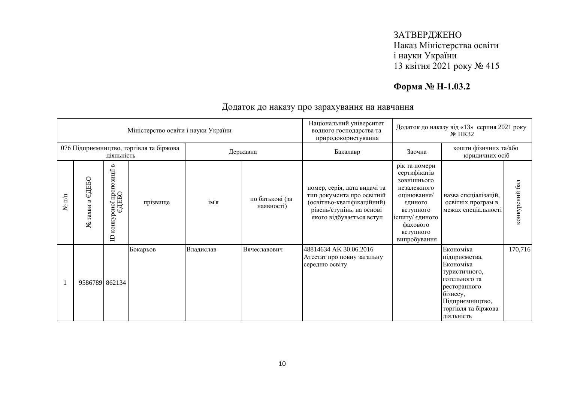# **Форма № Н-1.03.2**

|                         |                                     |                                                            | Міністерство освіти і науки України     |           |                               | Національний університет<br>Додаток до наказу від «13» серпня 2021 року<br>водного господарства та<br>$N2 \Pi K32$<br>природокористування         |                                                                                                                                                                |                                                                                                                                                               |                |
|-------------------------|-------------------------------------|------------------------------------------------------------|-----------------------------------------|-----------|-------------------------------|---------------------------------------------------------------------------------------------------------------------------------------------------|----------------------------------------------------------------------------------------------------------------------------------------------------------------|---------------------------------------------------------------------------------------------------------------------------------------------------------------|----------------|
|                         |                                     | діяльність                                                 | 076 Підприємництво, торгівля та біржова |           | Державна                      | Бакалавр                                                                                                                                          | Заочна                                                                                                                                                         | кошти фізичних та/або<br>юридичних осіб                                                                                                                       |                |
| $\mathbb{H}^{\Pi}$<br>۶ | едеью<br>$\mathbf{a}$<br>заяви<br>٤ | B<br>рсної пропозиції н<br>ЄДЕБО<br>конкур<br>$\mathbf{D}$ | прізвище                                | ім'я      | по батькові (за<br>наявності) | номер, серія, дата видачі та<br>тип документа про освітній<br>(освітньо-кваліфікаційний)<br>рівень/ступінь, на основі<br>якого відбувається вступ | рік та номери<br>сертифікатів<br>зовнішнього<br>незалежного<br>оцінювання/<br>єдиного<br>вступного<br>іспиту/ єдиного<br>фахового<br>вступного<br>випробування | назва спеціалізацій,<br>освітніх програм в<br>межах спеціальності                                                                                             | конкурсний бал |
|                         | 9586789 862134                      |                                                            | Бокарьов                                | Владислав | Вячеславович                  | 48814634 AK 30.06.2016<br>Атестат про повну загальну<br>середню освіту                                                                            |                                                                                                                                                                | Економіка<br>підприємства,<br>Економіка<br>туристичного,<br>готельного та<br>ресторанного<br>бізнесу,<br>Підприємництво,<br>торгівля та біржова<br>діяльність | 170,716        |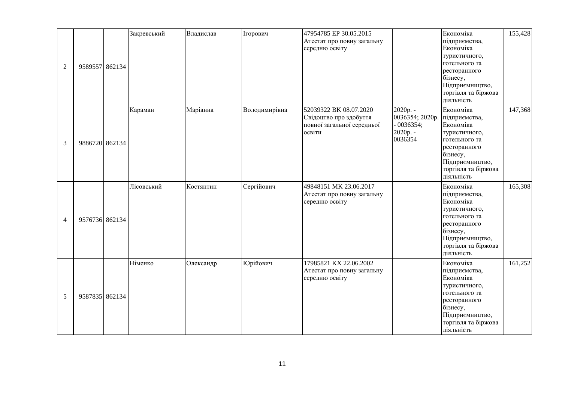| $\overline{2}$ | 9589557 862134 | Закревський | Владислав | Ігорович      | 47954785 EP 30.05.2015<br>Атестат про повну загальну<br>середню освіту                   |                                                                   | Економіка<br>підприємства,<br>Економіка<br>туристичного,<br>готельного та<br>ресторанного<br>бізнесу,<br>Підприємництво,<br>торгівля та біржова<br>діяльність | 155,428 |
|----------------|----------------|-------------|-----------|---------------|------------------------------------------------------------------------------------------|-------------------------------------------------------------------|---------------------------------------------------------------------------------------------------------------------------------------------------------------|---------|
| 3              | 9886720 862134 | Караман     | Маріанна  | Володимирівна | 52039322 BK 08.07.2020<br>Свідоцтво про здобуття<br>повної загальної середньої<br>освіти | 2020p. -<br>0036354; 2020p.<br>$-0036354;$<br>2020p. -<br>0036354 | Економіка<br>підприємства,<br>Економіка<br>туристичного,<br>готельного та<br>ресторанного<br>бізнесу,<br>Підприємництво,<br>торгівля та біржова<br>діяльність | 147,368 |
| 4              | 9576736 862134 | Лісовський  | Костянтин | Сергійович    | 49848151 MK 23.06.2017<br>Атестат про повну загальну<br>середню освіту                   |                                                                   | Економіка<br>підприємства,<br>Економіка<br>туристичного,<br>готельного та<br>ресторанного<br>бізнесу,<br>Підприємництво,<br>торгівля та біржова<br>діяльність | 165,308 |
| 5              | 9587835 862134 | Німенко     | Олександр | Юрійович      | 17985821 KX 22.06.2002<br>Атестат про повну загальну<br>середню освіту                   |                                                                   | Економіка<br>підприємства,<br>Економіка<br>туристичного,<br>готельного та<br>ресторанного<br>бізнесу,<br>Підприємництво,<br>торгівля та біржова<br>діяльність | 161,252 |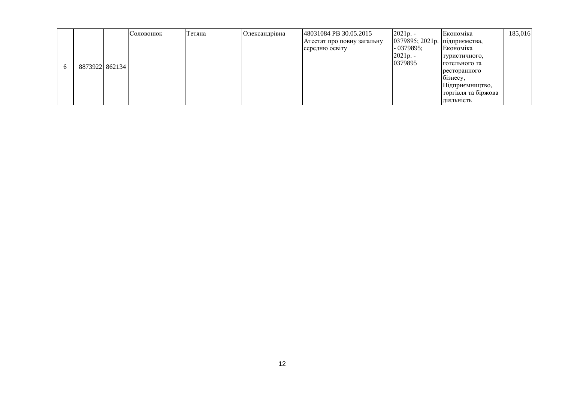|          |                 | Соловонюк | Тетяна | Олександрівна | 48031084 PB 30.05.2015     | $2021p. -$                      | Економіка           | 185,016 |
|----------|-----------------|-----------|--------|---------------|----------------------------|---------------------------------|---------------------|---------|
|          |                 |           |        |               | Атестат про повну загальну | 0379895; 2021р.   підприємства, |                     |         |
|          |                 |           |        |               | середню освіту             | $-0379895;$                     | Економіка           |         |
|          |                 |           |        |               |                            | $2021p. -$                      | туристичного,       |         |
| $\sigma$ | 887392218621341 |           |        |               |                            | 0379895                         | Іготельного та      |         |
|          |                 |           |        |               |                            |                                 | ресторанного        |         |
|          |                 |           |        |               |                            |                                 | ознесу,             |         |
|          |                 |           |        |               |                            |                                 | Підприємництво,     |         |
|          |                 |           |        |               |                            |                                 | торгівля та біржова |         |
|          |                 |           |        |               |                            |                                 | Д1ЯЛЬН1СТЬ          |         |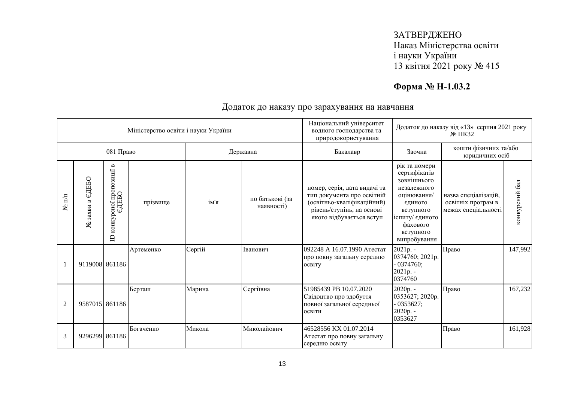# **Форма № Н-1.03.2**

|                  |                      |                                                                  | Міністерство освіти і науки України |        |                               | Національний університет<br>водного господарства та<br>природокористування                                                                        | Додаток до наказу від «13» серпня 2021 року<br>№ ПКЗ2                                                                                                          |                                                                   |                |  |
|------------------|----------------------|------------------------------------------------------------------|-------------------------------------|--------|-------------------------------|---------------------------------------------------------------------------------------------------------------------------------------------------|----------------------------------------------------------------------------------------------------------------------------------------------------------------|-------------------------------------------------------------------|----------------|--|
|                  |                      | 081 Право                                                        |                                     |        | Державна                      | Бакалавр                                                                                                                                          | Заочна                                                                                                                                                         | кошти фізичних та/або<br>юридичних осіб                           |                |  |
| $\mathbf{N}$ υνι | едеь<br>заяви в<br>ع | $\mathbf{B}$<br>пропозиції<br>едньо<br>конкурсної<br>$\triangle$ | прізвище                            | ім'я   | по батькові (за<br>наявності) | номер, серія, дата видачі та<br>тип документа про освітній<br>(освітньо-кваліфікаційний)<br>рівень/ступінь, на основі<br>якого відбувається вступ | рік та номери<br>сертифікатів<br>зовнішнього<br>незалежного<br>оцінювання/<br>єдиного<br>вступного<br>іспиту/ єдиного<br>фахового<br>вступного<br>випробування | назва спеціалізацій.<br>освітніх програм в<br>межах спеціальності | конкурсний бал |  |
|                  | 9119008 861186       |                                                                  | Артеменко                           | Сергій | Іванович                      | 092248 А 16.07.1990 Атестат<br>про повну загальну середню<br><b>OCBITY</b>                                                                        | 2021p. -<br>0374760; 2021p.<br>$-0374760;$<br>$2021p. -$<br>0374760                                                                                            | Право                                                             | 147,992        |  |
| $\overline{2}$   | 9587015 861186       |                                                                  | Берташ                              | Марина | Сергіївна                     | 51985439 PB 10.07.2020<br>Свідоцтво про здобуття<br>повної загальної середньої<br>освіти                                                          | 2020p. -<br>0353627; 2020p.<br>$-0353627;$<br>2020p. -<br>0353627                                                                                              | Право                                                             | 167,232        |  |
| 3                | 9296299 861186       |                                                                  | Богаченко                           | Микола | Миколайович                   | 46528556 KX 01.07.2014<br>Атестат про повну загальну<br>середню освіту                                                                            |                                                                                                                                                                | Право                                                             | 161,928        |  |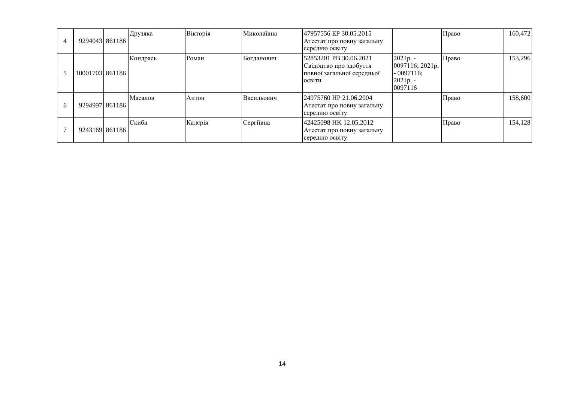| $\overline{4}$ | 9294043 861186  | Друзяка  | Вікторія | Миколаївна | 47957556 EP 30.05.2015<br>Атестат про повну загальну<br>середню освіту                   |                                                                      | Право | 160,472 |
|----------------|-----------------|----------|----------|------------|------------------------------------------------------------------------------------------|----------------------------------------------------------------------|-------|---------|
|                | 10001703 861186 | Кондрась | Роман    | Богданович | 52853201 PB 30.06.2021<br>Свідоцтво про здобуття<br>повної загальної середньої<br>освіти | 2021p. -<br>0097116; 2021p.<br>$-0097116$ :<br>$2021p. -$<br>0097116 | Право | 153,296 |
| 6              | 9294997 861186  | Масалов  | Антон    | Васильович | 24975760 HP 21.06.2004<br>Атестат про повну загальну<br>середню освіту                   |                                                                      | Право | 158,600 |
|                | 9243169 861186  | Скиба    | Калєрія  | Сергіївна  | 42425098 HK 12.05.2012<br>Атестат про повну загальну<br>середню освіту                   |                                                                      | Право | 154,128 |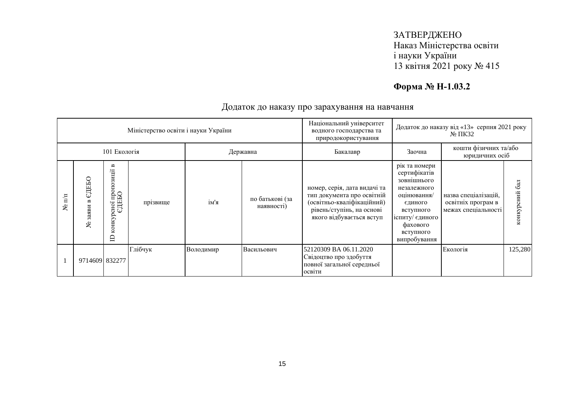# **Форма № Н-1.03.2**

|                   |                           |                                                                        | Міністерство освіти і науки України |            |                                                                                          | Національний університет<br>водного господарства та<br>природокористування                                                                        | Додаток до наказу від «13» серпня 2021 року<br>$N2 \Pi K32$                                                                                                    |                                                                   |                  |
|-------------------|---------------------------|------------------------------------------------------------------------|-------------------------------------|------------|------------------------------------------------------------------------------------------|---------------------------------------------------------------------------------------------------------------------------------------------------|----------------------------------------------------------------------------------------------------------------------------------------------------------------|-------------------------------------------------------------------|------------------|
|                   | 101 Екологія<br>Державна  |                                                                        |                                     |            |                                                                                          | Бакалавр                                                                                                                                          | Заочна                                                                                                                                                         | кошти фізичних та/або<br>юридичних осіб                           |                  |
| $\mathbb{H}$<br>ৼ | ДЕБО<br>ω<br>заяви<br>٤   | $\blacksquare$<br>осної пропозиції і<br>СДЕБО<br>конкур<br>$\triangle$ | прізвище                            | ім'я       | по батькові (за<br>наявності)                                                            | номер, серія, дата видачі та<br>тип документа про освітній<br>(освітньо-кваліфікаційний)<br>рівень/ступінь, на основі<br>якого відбувається вступ | рік та номери<br>сертифікатів<br>зовнішнього<br>незалежного<br>оцінювання/<br>єдиного<br>вступного<br>іспиту/ єдиного<br>фахового<br>вступного<br>випробування | назва спеціалізацій,<br>освітніх програм в<br>межах спеціальності | 6a<br>конкурсний |
|                   | Глібчук<br>9714609 832277 |                                                                        | Володимир                           | Васильович | 52120309 BA 06.11.2020<br>Свідоцтво про здобуття<br>повної загальної середньої<br>освіти |                                                                                                                                                   | Екологія                                                                                                                                                       | 125,280                                                           |                  |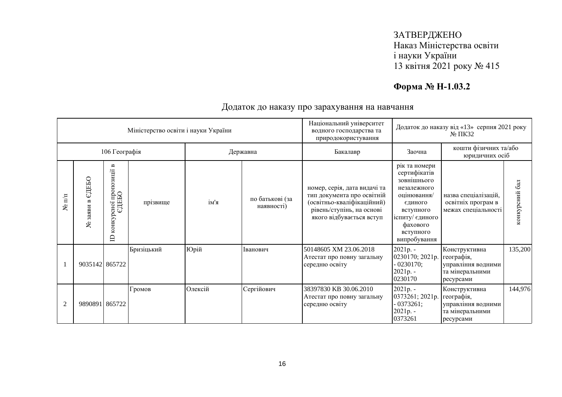# **Форма № Н-1.03.2**

|                  |                               |                                                                       | Міністерство освіти і науки України |         |                               | Національний університет<br>Додаток до наказу від «13» серпня 2021 року<br>водного господарства та<br>$N2 \Pi K32$<br>природокористування         |                                                                                                                                                                |                                                                                   |                   |
|------------------|-------------------------------|-----------------------------------------------------------------------|-------------------------------------|---------|-------------------------------|---------------------------------------------------------------------------------------------------------------------------------------------------|----------------------------------------------------------------------------------------------------------------------------------------------------------------|-----------------------------------------------------------------------------------|-------------------|
|                  |                               | 106 Географія                                                         |                                     |         | Державна                      | Бакалавр                                                                                                                                          | кошти фізичних та/або<br>Заочна<br>юридичних осіб                                                                                                              |                                                                                   |                   |
| $\mathbf{N}$ π/π | ЄДЕБО<br>$\sim$<br>заяви<br>٤ | $\mathbf{m}$<br>осної пропозиції в<br>ЄДЕБО<br>конкур<br>$\mathbf{D}$ | прізвище                            | ім'я    | по батькові (за<br>наявності) | номер, серія, дата видачі та<br>тип документа про освітній<br>(освітньо-кваліфікаційний)<br>рівень/ступінь, на основі<br>якого відбувається вступ | рік та номери<br>сертифікатів<br>зовнішнього<br>незалежного<br>оцінювання/<br>єдиного<br>вступного<br>іспиту/ єдиного<br>фахового<br>вступного<br>випробування | назва спеціалізацій,<br>освітніх програм в<br>межах спеціальності                 | бал<br>конкурсний |
|                  | 9035142 865722                |                                                                       | Бризіцький                          | Юрій    | Іванович                      | 50148605 XM 23.06.2018<br>Атестат про повну загальну<br>середню освіту                                                                            | 2021p. -<br>0230170; 2021p.<br>$-0230170;$<br>$2021p. -$<br>0230170                                                                                            | Конструктивна<br>географія,<br>управління водними<br>та мінеральними<br>ресурсами | 135,200           |
| $\overline{2}$   | 9890891 865722                |                                                                       | Громов                              | Олексій | Сергійович                    | 38397830 KB 30.06.2010<br>Атестат про повну загальну<br>середню освіту                                                                            | 2021p. -<br>0373261; 2021p.<br>$-0373261;$<br>2021p. -<br>0373261                                                                                              | Конструктивна<br>географія,<br>управління водними<br>та мінеральними<br>ресурсами | 144,976           |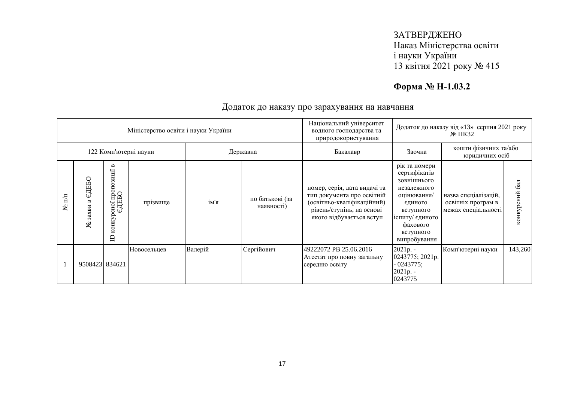# **Форма № Н-1.03.2**

|                                |                                   |                                                                        | Міністерство освіти і науки України |         |                               | Національний університет<br>водного господарства та<br>природокористування                                                                        | Додаток до наказу від «13» серпня 2021 року<br>$\mathbb{N}^{\circ}$ TIK32                                                                                      |                                                                   |                               |
|--------------------------------|-----------------------------------|------------------------------------------------------------------------|-------------------------------------|---------|-------------------------------|---------------------------------------------------------------------------------------------------------------------------------------------------|----------------------------------------------------------------------------------------------------------------------------------------------------------------|-------------------------------------------------------------------|-------------------------------|
|                                | 122 Комп'ютерні науки<br>Державна |                                                                        |                                     |         |                               | Бакалавр                                                                                                                                          | Заочна                                                                                                                                                         | кошти фізичних та/або<br>юридичних осіб                           |                               |
| $\mathbb{H}^{\mathbb{H}}$<br>٤ | СДЕБО<br>$\approx$<br>заяви<br>ع  | $\blacksquare$<br>осної пропозиції і<br>ЄДЕБО<br>конкур<br>$\triangle$ | прізвище                            | ім'я    | по батькові (за<br>наявності) | номер, серія, дата видачі та<br>тип документа про освітній<br>(освітньо-кваліфікаційний)<br>рівень/ступінь, на основі<br>якого відбувається вступ | рік та номери<br>сертифікатів<br>зовнішнього<br>незалежного<br>оцінювання/<br>єдиного<br>вступного<br>іспиту/ єдиного<br>фахового<br>вступного<br>випробування | назва спеціалізацій,<br>освітніх програм в<br>межах спеціальності | $\overline{6a}$<br>конкурсний |
|                                | 9508423 834621                    |                                                                        | Новосельцев                         | Валерій | Сергійович                    | 49222072 PB 25.06.2016<br>Атестат про повну загальну<br>середню освіту                                                                            | $2021p. -$<br>0243775; 2021p.<br>$-0243775;$<br>2021p. -<br>0243775                                                                                            | Комп'ютерні науки                                                 | 143,260                       |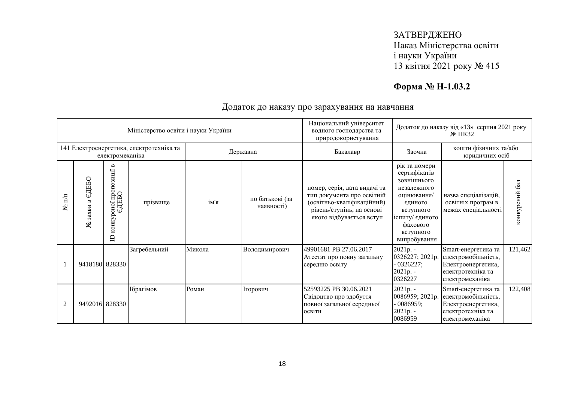# **Форма № Н-1.03.2**

|                  | Міністерство освіти і науки України<br>141 Електроенергетика, електротехніка та |                                                                         |                  |        |                               | Національний університет<br>водного господарства та<br>природокористування                                                                        |                                                                                                                                                                | Додаток до наказу від «13» серпня 2021 року<br>$\mathbb{N}^{\circ}$ TIK32                                |                  |
|------------------|---------------------------------------------------------------------------------|-------------------------------------------------------------------------|------------------|--------|-------------------------------|---------------------------------------------------------------------------------------------------------------------------------------------------|----------------------------------------------------------------------------------------------------------------------------------------------------------------|----------------------------------------------------------------------------------------------------------|------------------|
|                  |                                                                                 | електромеханіка                                                         |                  |        | Державна                      | Бакалавр                                                                                                                                          | Заочна                                                                                                                                                         | кошти фізичних та/або<br>юридичних осіб                                                                  |                  |
| $\mathbf{N}$ π/π | ЄДЕБО<br>$\mathbf{r}$<br>заяви<br>ৼ                                             | $\blacksquare$<br>осної пропозиції н<br>ЄДЕБО<br>конкур<br>$\mathbf{D}$ | прізвище         | ім'я   | по батькові (за<br>наявності) | номер, серія, дата видачі та<br>тип документа про освітній<br>(освітньо-кваліфікаційний)<br>рівень/ступінь, на основі<br>якого відбувається вступ | рік та номери<br>сертифікатів<br>зовнішнього<br>незалежного<br>оцінювання/<br>єдиного<br>вступного<br>іспиту/ єдиного<br>фахового<br>вступного<br>випробування | назва спеціалізацій,<br>освітніх програм в<br>межах спеціальності                                        | 6a<br>конкурсний |
|                  | 9418180 828330                                                                  |                                                                         | Загребельний     | Микола | Володимирович                 | 49901681 PB 27.06.2017<br>Атестат про повну загальну<br>середню освіту                                                                            | $2021p. -$<br>0326227; 2021p.<br>$-0326227;$<br>$2021p. -$<br>0326227                                                                                          | Smart-енергетика та<br>електромобільність,<br>Електроенергетика,<br>електротехніка та<br>електромеханіка | 121,462          |
| $\overline{2}$   | 9492016 828330                                                                  |                                                                         | <b>Ібрагімов</b> | Роман  | Ігорович                      | 52593225 PB 30.06.2021<br>Свідоцтво про здобуття<br>повної загальної середньої<br>освіти                                                          | 2021p. -<br>0086959; 2021p.<br>0086959;<br>2021p. -<br>0086959                                                                                                 | Smart-енергетика та<br>електромобільність,<br>Електроенергетика,<br>електротехніка та<br>електромеханіка | 122,408          |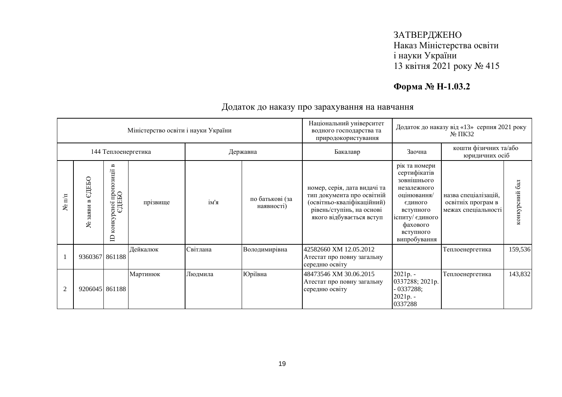# **Форма № Н-1.03.2**

|                      |                                     | Національний університет<br>Додаток до наказу від «13» серпня 2021 року<br>Міністерство освіти і науки України<br>водного господарства та<br>природокористування |          |          |                               |                                                                                                                                                   | $N0 \Pi K32$                                                                                                                                                   |                                                                   |                  |
|----------------------|-------------------------------------|------------------------------------------------------------------------------------------------------------------------------------------------------------------|----------|----------|-------------------------------|---------------------------------------------------------------------------------------------------------------------------------------------------|----------------------------------------------------------------------------------------------------------------------------------------------------------------|-------------------------------------------------------------------|------------------|
|                      |                                     | 144 Теплоенергетика                                                                                                                                              |          |          | Державна                      | Бакалавр                                                                                                                                          | Заочна                                                                                                                                                         | кошти фізичних та/або<br>юридичних осіб                           |                  |
| $N$ <sup>o</sup> π/π | ЕДЕБО<br>$\mathbf{r}$<br>заяви<br>٤ | пропозиції в<br>ДЕБО<br>сної<br>ω<br>конкур<br>$\triangle$                                                                                                       | прізвище | ім'я     | по батькові (за<br>наявності) | номер, серія, дата видачі та<br>тип документа про освітній<br>(освітньо-кваліфікаційний)<br>рівень/ступінь, на основі<br>якого відбувається вступ | рік та номери<br>сертифікатів<br>зовнішнього<br>незалежного<br>оцінювання/<br>єдиного<br>вступного<br>іспиту/ єдиного<br>фахового<br>вступного<br>випробування | назва спеціалізацій,<br>освітніх програм в<br>межах спеціальності | 6a<br>конкурсний |
|                      | 9360367 861188                      |                                                                                                                                                                  | Дейкалюк | Світлана | Володимирівна                 | 42582660 XM 12.05.2012<br>Атестат про повну загальну<br>середню освіту                                                                            |                                                                                                                                                                | Теплоенергетика                                                   | 159,536          |
| $\overline{2}$       | 9206045 861188                      |                                                                                                                                                                  | Мартинюк | Людмила  | Юріївна                       | 48473546 XM 30.06.2015<br>Атестат про повну загальну<br>середню освіту                                                                            | 2021p. -<br>0337288; 2021p.<br>$-0337288;$<br>$2021p. -$<br>0337288                                                                                            | Теплоенергетика                                                   | 143,832          |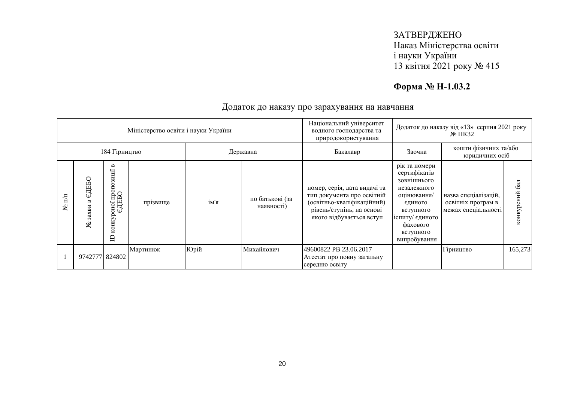# **Форма № Н-1.03.2**

|                   |                                |                                                    | Міністерство освіти і науки України |      |                               | Національний університет<br>водного господарства та<br>природокористування                                                                        | Додаток до наказу від «13» серпня 2021 року                                                                                                                    |                                                                   |                  |
|-------------------|--------------------------------|----------------------------------------------------|-------------------------------------|------|-------------------------------|---------------------------------------------------------------------------------------------------------------------------------------------------|----------------------------------------------------------------------------------------------------------------------------------------------------------------|-------------------------------------------------------------------|------------------|
|                   |                                | 184 Гірництво                                      |                                     |      | Державна                      | Бакалавр                                                                                                                                          | Заочна                                                                                                                                                         | кошти фізичних та/або<br>юридичних осіб                           |                  |
| $\mathbf{m}$<br>ደ | ЕДЕБО<br>3 <sub>2</sub> H<br>ع | B<br>зиції<br>осно1 пропоз<br>СДЕБО<br>конкур<br>白 | прізвище                            | ім'я | по батькові (за<br>наявності) | номер, серія, дата видачі та<br>тип документа про освітній<br>(освітньо-кваліфікаційний)<br>рівень/ступінь, на основі<br>якого відбувається вступ | рік та номери<br>сертифікатів<br>зовнішнього<br>незалежного<br>оцінювання/<br>єдиного<br>вступного<br>іспиту/ єдиного<br>фахового<br>вступного<br>випробування | назва спеціалізацій,<br>освітніх програм в<br>межах спеціальності | 6a<br>конкурсний |
|                   | 9742777 824802                 |                                                    | Мартинюк                            | Юрій | Михайлович                    | 49600822 PB 23.06.2017<br>Атестат про повну загальну<br>середню освіту                                                                            |                                                                                                                                                                | Гірництво                                                         | 165,273          |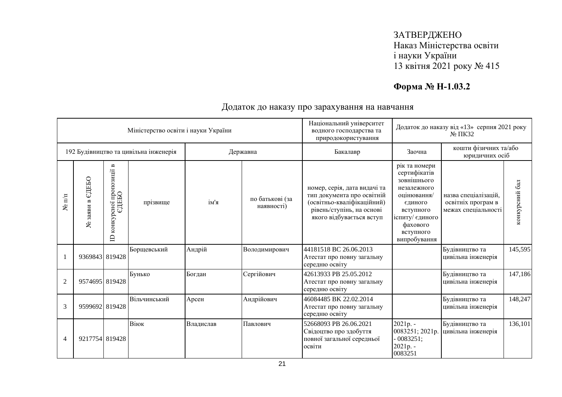# **Форма № Н-1.03.2**

|                      |                    |                                                             | Міністерство освіти і науки України   |           |                               | Національний університет<br>водного господарства та<br>природокористування                                                                        |                                                                                                                                                                | Додаток до наказу від «13» серпня 2021 року<br>№ ПКЗ2             |                |
|----------------------|--------------------|-------------------------------------------------------------|---------------------------------------|-----------|-------------------------------|---------------------------------------------------------------------------------------------------------------------------------------------------|----------------------------------------------------------------------------------------------------------------------------------------------------------------|-------------------------------------------------------------------|----------------|
|                      |                    |                                                             | 192 Будівництво та цивільна інженерія |           | Державна                      | Бакалавр                                                                                                                                          | Заочна                                                                                                                                                         | кошти фізичних та/або<br>юридичних осіб                           |                |
| $N$ <sup>o</sup> π/π | ЄДЕБО<br>№ заяви в | пропозиції в<br>сної про<br>ЄДЕБО<br>конкур<br>$\mathbf{D}$ | прізвище                              | ім'я      | по батькові (за<br>наявності) | номер, серія, дата видачі та<br>тип документа про освітній<br>(освітньо-кваліфікаційний)<br>рівень/ступінь, на основі<br>якого відбувається вступ | рік та номери<br>сертифікатів<br>зовнішнього<br>незалежного<br>оцінювання/<br>єдиного<br>вступного<br>іспиту/ єдиного<br>фахового<br>вступного<br>випробування | назва спеціалізацій,<br>освітніх програм в<br>межах спеціальності | конкурсний бал |
|                      | 9369843 819428     |                                                             | Борщевський                           | Андрій    | Володимирович                 | 44181518 BC 26.06.2013<br>Атестат про повну загальну<br>середню освіту                                                                            |                                                                                                                                                                | Будівництво та<br>цивільна інженерія                              | 145,595        |
| $\overline{2}$       | 9574695 819428     |                                                             | Бунько                                | Богдан    | Сергійович                    | 42613933 PB 25.05.2012<br>Атестат про повну загальну<br>середню освіту                                                                            |                                                                                                                                                                | Будівництво та<br>цивільна інженерія                              | 147,186        |
| 3                    | 9599692 819428     |                                                             | Вільчинський                          | Арсен     | Андрійович                    | 46084485 BK 22.02.2014<br>Атестат про повну загальну<br>середню освіту                                                                            |                                                                                                                                                                | Будівництво та<br>цивільна інженерія                              | 148,247        |
| 4                    | 9217754 819428     |                                                             | Віюк                                  | Владислав | Павлович                      | 52668093 PB 26.06.2021<br>Свідоцтво про здобуття<br>повної загальної середньої<br>освіти                                                          | $2021p. -$<br>0083251; 2021p.<br>$-0083251;$<br>2021p. -<br>0083251                                                                                            | Будівництво та<br>цивільна інженерія                              | 136,101        |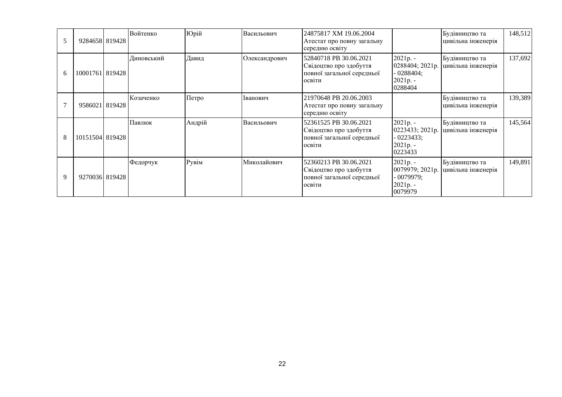|   | 9284658 819428  | Войтенко   | Юрій   | Васильович    | 24875817 XM 19.06.2004<br>Атестат про повну загальну<br>середню освіту                   |                                                                      | Будівництво та<br>цивільна інженерія | 148,512 |
|---|-----------------|------------|--------|---------------|------------------------------------------------------------------------------------------|----------------------------------------------------------------------|--------------------------------------|---------|
| 6 | 10001761 819428 | Диновський | Давид  | Олександрович | 52840718 PB 30.06.2021<br>Свідоцтво про здобуття<br>повної загальної середньої<br>освіти | $2021p. -$<br>0288404; 2021p.<br>$-0288404;$<br>2021p. -<br>0288404  | Будівництво та<br>цивільна інженерія | 137,692 |
|   | 95860211819428  | Козаченко  | Петро  | Іванович      | 21970648 PB 20.06.2003<br>Атестат про повну загальну<br>середню освіту                   |                                                                      | Будівництво та<br>цивільна інженерія | 139,389 |
| 8 | 10151504 819428 | Павлюк     | Андрій | Васильович    | 52361525 PB 30.06.2021<br>Свідоцтво про здобуття<br>повної загальної середньої<br>освіти | 2021p. -<br>0223433; 2021p.<br>$-0223433;$<br>$2021p. -$<br>0223433  | Будівництво та<br>цивільна інженерія | 145,564 |
| 9 | 92700361819428  | Федорчук   | Рувім  | Миколайович   | 52360213 PB 30.06.2021<br>Свідоцтво про здобуття<br>повної загальної середньої<br>освіти | $2021p. -$<br>0079979; 2021p.<br>- 0079979:<br>$2021p. -$<br>0079979 | Будівництво та<br>цивільна інженерія | 149,891 |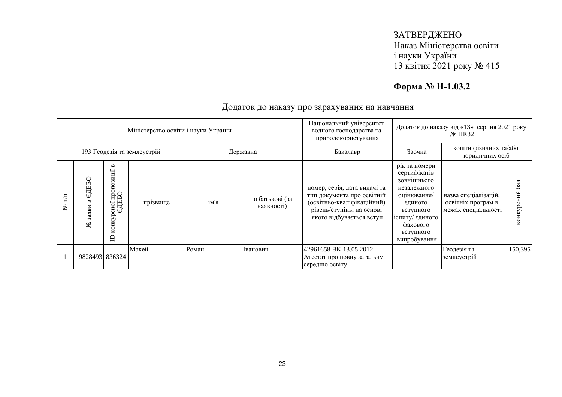# **Форма № Н-1.03.2**

|                   |                                         |                                                       | Міністерство освіти і науки України |       |                               | Національний університет<br>водного господарства та<br>природокористування                                                                        |                                                                                                                                                                | Додаток до наказу від «13» серпня 2021 року<br>$N2 \Pi K32$       |                  |
|-------------------|-----------------------------------------|-------------------------------------------------------|-------------------------------------|-------|-------------------------------|---------------------------------------------------------------------------------------------------------------------------------------------------|----------------------------------------------------------------------------------------------------------------------------------------------------------------|-------------------------------------------------------------------|------------------|
|                   | 193 Геодезія та землеустрій<br>Державна |                                                       |                                     |       |                               | Бакалавр                                                                                                                                          | Заочна                                                                                                                                                         | кошти фізичних та/або<br>юридичних осіб                           |                  |
| $\mathbf{m}$<br>ৼ | СДЕБО<br>3 <sub>2</sub> H<br>ৼ          | B<br>зиції<br>иног пропоз<br>СДЕБО<br>конкурсної<br>⊟ | прізвище                            | ім'я  | по батькові (за<br>наявності) | номер, серія, дата видачі та<br>тип документа про освітній<br>(освітньо-кваліфікаційний)<br>рівень/ступінь, на основі<br>якого відбувається вступ | рік та номери<br>сертифікатів<br>зовнішнього<br>незалежного<br>оцінювання/<br>єдиного<br>вступного<br>іспиту/ єдиного<br>фахового<br>вступного<br>випробування | назва спеціалізацій,<br>освітніх програм в<br>межах спеціальності | 6a<br>конкурсний |
|                   | 9828493 836324                          |                                                       | Махей                               | Роман | Іванович                      | 42961658 BK 13.05.2012<br>Атестат про повну загальну<br>середню освіту                                                                            |                                                                                                                                                                | Геодезія та<br>землеустрій                                        | 150,395          |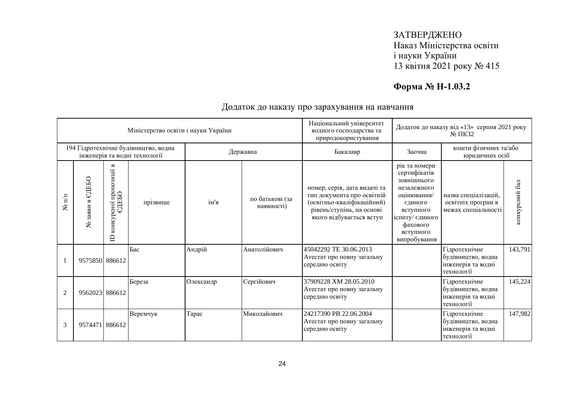# **Форма № Н-1.03.2**

|                      |                    |                                                           | Міністерство освіти і науки України                                   |           |                               | Національний університет<br>Додаток до наказу від «13» серпня 2021 року<br>водного господарства та<br>$N0 \Pi K32$<br>природокористування         |                                                                                                                                                                |                                                                         |                |
|----------------------|--------------------|-----------------------------------------------------------|-----------------------------------------------------------------------|-----------|-------------------------------|---------------------------------------------------------------------------------------------------------------------------------------------------|----------------------------------------------------------------------------------------------------------------------------------------------------------------|-------------------------------------------------------------------------|----------------|
|                      |                    |                                                           | 194 Гідротехнічне будівництво, водна<br>інженерія та водні технології |           | Державна                      | Бакалавр                                                                                                                                          | Заочна                                                                                                                                                         | кошти фізичних та/або<br>юридичних осіб                                 |                |
| $N$ <sup>2</sup> π/π | ЄДЕБО<br>№ заяви в | осної пропозиції в<br>ЄДЕБО<br>конкурсної<br>$\mathbf{D}$ | прізвище                                                              | ім'я      | по батькові (за<br>наявності) | номер, серія, дата видачі та<br>тип документа про освітній<br>(освітньо-кваліфікаційний)<br>рівень/ступінь, на основі<br>якого відбувається вступ | рік та номери<br>сертифікатів<br>зовнішнього<br>незалежного<br>оцінювання/<br>єдиного<br>вступного<br>іспиту/ єдиного<br>фахового<br>вступного<br>випробування | назва спеціалізацій,<br>освітніх програм в<br>межах спеціальності       | конкурсний бал |
|                      | 9575850 886612     |                                                           | Бас                                                                   | Андрій    | Анатолійович                  | 45042292 TE 30.06.2013<br>Атестат про повну загальну<br>середню освіту                                                                            |                                                                                                                                                                | Гідротехнічне<br>будівництво, водна<br>інженерія та водні<br>технології | 143,791        |
| 2                    | 9562023 886612     |                                                           | Береза                                                                | Олександр | Сергійович                    | 37909228 XM 28.05.2010<br>Атестат про повну загальну<br>середню освіту                                                                            |                                                                                                                                                                | Гідротехнічне<br>будівництво, водна<br>інженерія та водні<br>технології | 145,224        |
| 3                    | 9574471 886612     |                                                           | Веремчук                                                              | Tapac     | Миколайович                   | 24217390 PB 22.06.2004<br>Атестат про повну загальну<br>середню освіту                                                                            |                                                                                                                                                                | Гідротехнічне<br>будівництво, водна<br>інженерія та водні<br>технології | 147,982        |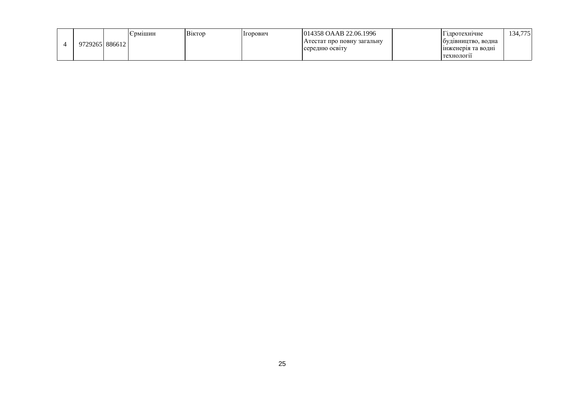|  | 97292651886612 |  | рмішин | <b>B1KTOD</b> | Ігорович       | 014358 OAAB 22.06.1996     |  | 1 ідротехнічне     | 34,775 |
|--|----------------|--|--------|---------------|----------------|----------------------------|--|--------------------|--------|
|  |                |  |        |               |                | Атестат про повну загальну |  | оудівництво, водна |        |
|  |                |  |        |               | середню освіту | инженерія та водні         |  |                    |        |
|  |                |  |        |               |                |                            |  | І технологи        |        |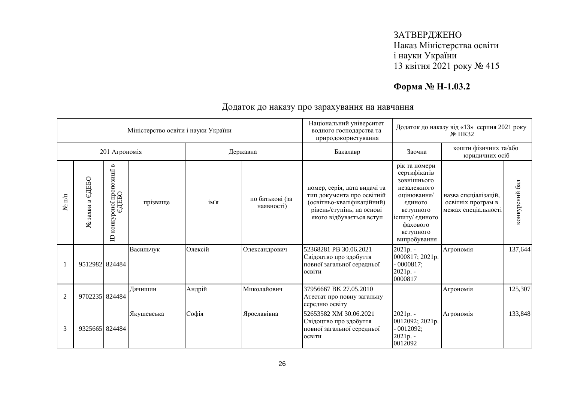# **Форма № Н-1.03.2**

| Міністерство освіти і науки України |                    |                                                  |            |          | Національний університет<br>водного господарства та<br>природокористування | Додаток до наказу від «13» серпня 2021 року<br>$N0 \Pi K32$                                                                                       |                                                                                                                                                                |                                                                   |                |
|-------------------------------------|--------------------|--------------------------------------------------|------------|----------|----------------------------------------------------------------------------|---------------------------------------------------------------------------------------------------------------------------------------------------|----------------------------------------------------------------------------------------------------------------------------------------------------------------|-------------------------------------------------------------------|----------------|
| 201 Агрономія                       |                    |                                                  |            | Державна |                                                                            | Бакалавр                                                                                                                                          | Заочна                                                                                                                                                         | кошти фізичних та/або<br>юридичних осіб                           |                |
| $N$ <sup>2</sup> π/π                | ЄДЕБО<br>№ заяви в | конкурсної пропозиції в<br>СДЕБО<br>$\mathbf{D}$ | прізвище   | ім'я     | по батькові (за<br>наявності)                                              | номер, серія, дата видачі та<br>тип документа про освітній<br>(освітньо-кваліфікаційний)<br>рівень/ступінь, на основі<br>якого відбувається вступ | рік та номери<br>сертифікатів<br>зовнішнього<br>незалежного<br>оцінювання/<br>єдиного<br>вступного<br>іспиту/ єдиного<br>фахового<br>вступного<br>випробування | назва спеціалізацій,<br>освітніх програм в<br>межах спеціальності | конкурсний бал |
|                                     | 9512982 824484     |                                                  | Васильчук  | Олексій  | Олександрович                                                              | 52368281 PB 30.06.2021<br>Свідоцтво про здобуття<br>повної загальної середньої<br>освіти                                                          | 2021p. -<br>0000817; 2021p.<br>$-0000817;$<br>2021p. -<br>0000817                                                                                              | Агрономія                                                         | 137,644        |
| $\overline{2}$                      | 9702235 824484     |                                                  | Дячишин    | Андрій   | Миколайович                                                                | 37956667 BK 27.05.2010<br>Атестат про повну загальну<br>середню освіту                                                                            |                                                                                                                                                                | Агрономія                                                         | 125,307        |
| 3                                   | 9325665 824484     |                                                  | Якушевська | Софія    | Ярославівна                                                                | 52653582 XM 30.06.2021<br>Свідоцтво про здобуття<br>повної загальної середньої<br>освіти                                                          | 2021p. -<br>0012092; 2021p.<br>$-0012092;$<br>2021p. -<br>0012092                                                                                              | Агрономія                                                         | 133,848        |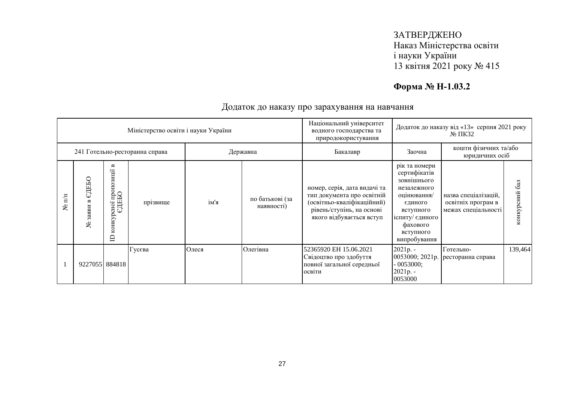# **Форма № Н-1.03.2**

| Міністерство освіти і науки України |                                  |                                                                           |          |       | Національний університет<br>водного господарства та<br>природокористування | Додаток до наказу від «13» серпня 2021 року<br>$\mathbb{N}^{\circ}$ IIK32                                                                         |                                                                                                                                                                |                                                                   |                  |
|-------------------------------------|----------------------------------|---------------------------------------------------------------------------|----------|-------|----------------------------------------------------------------------------|---------------------------------------------------------------------------------------------------------------------------------------------------|----------------------------------------------------------------------------------------------------------------------------------------------------------------|-------------------------------------------------------------------|------------------|
| 241 Готельно-ресторанна справа      |                                  |                                                                           |          |       | Державна                                                                   | Бакалавр                                                                                                                                          | кошти фізичних та/або<br>Заочна<br>юридичних осіб                                                                                                              |                                                                   |                  |
| $\mathbf{N}$ π/π                    | ЕДЕБО<br>$\approx$<br>заяви<br>ৼ | $\blacksquare$<br>зиції<br>осної пропоз<br>ЄДЕБО<br>конкур<br>$\triangle$ | прізвище | ім'я  | по батькові (за<br>наявності)                                              | номер, серія, дата видачі та<br>тип документа про освітній<br>(освітньо-кваліфікаційний)<br>рівень/ступінь, на основі<br>якого відбувається вступ | рік та номери<br>сертифікатів<br>зовнішнього<br>незалежного<br>оцінювання/<br>єдиного<br>вступного<br>іспиту/ єдиного<br>фахового<br>вступного<br>випробування | назва спеціалізацій,<br>освітніх програм в<br>межах спеціальності | 6a<br>конкурсний |
|                                     | 9227055 884818                   |                                                                           | Гусєва   | Олеся | Олегівна                                                                   | 52365920 EH 15.06.2021<br>Свідоцтво про здобуття<br>повної загальної середньої<br>освіти                                                          | $2021p. -$<br>$-0053000;$<br>2021p. -<br>0053000                                                                                                               | Готельно-<br>0053000; 2021р.   ресторанна справа                  | 139,464          |